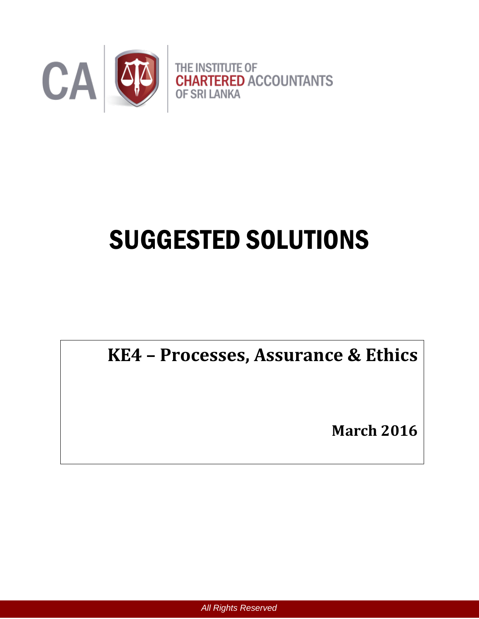

# SUGGESTED SOLUTIONS

# **KE4 – Processes, Assurance & Ethics**

**March 2016**

*All Rights Reserved*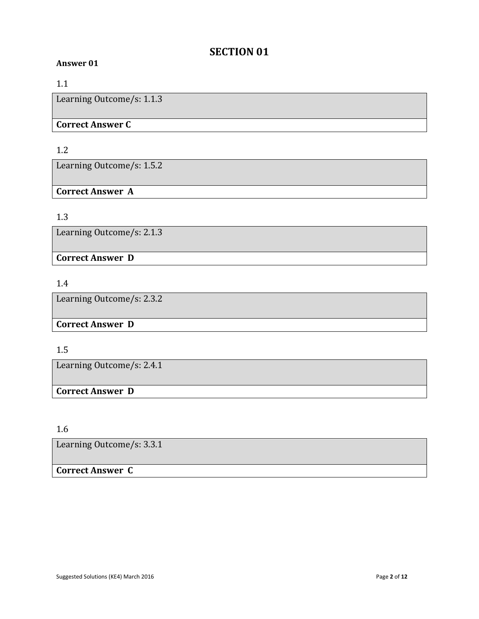# **SECTION 01**

#### **Answer 01**

#### 1.1

Learning Outcome/s: 1.1.3

#### **Correct Answer C**

#### 1.2

Learning Outcome/s: 1.5.2

#### **Correct Answer A**

#### 1.3

Learning Outcome/s: 2.1.3

**Correct Answer D**

#### 1.4

Learning Outcome/s: 2.3.2

# **Correct Answer D**

#### 1.5

Learning Outcome/s: 2.4.1

# **Correct Answer D**

1.6

Learning Outcome/s: 3.3.1

# **Correct Answer C**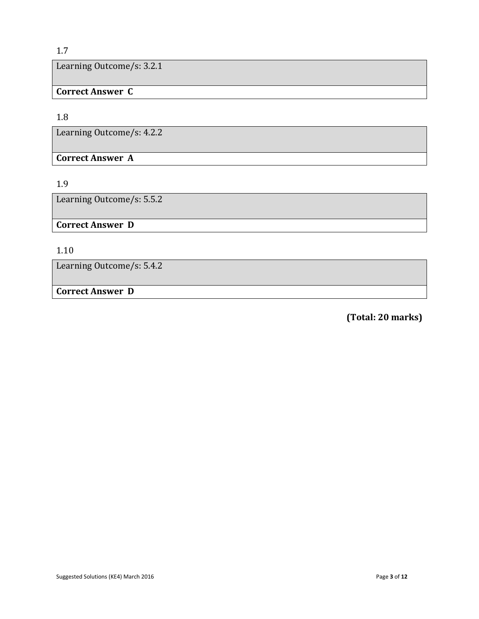#### 1.7

Learning Outcome/s: 3.2.1

**Correct Answer C**

#### 1.8

Learning Outcome/s: 4.2.2

**Correct Answer A**

#### 1.9

Learning Outcome/s: 5.5.2

**Correct Answer D**

# 1.10

Learning Outcome/s: 5.4.2

# **Correct Answer D**

 **(Total: 20 marks)**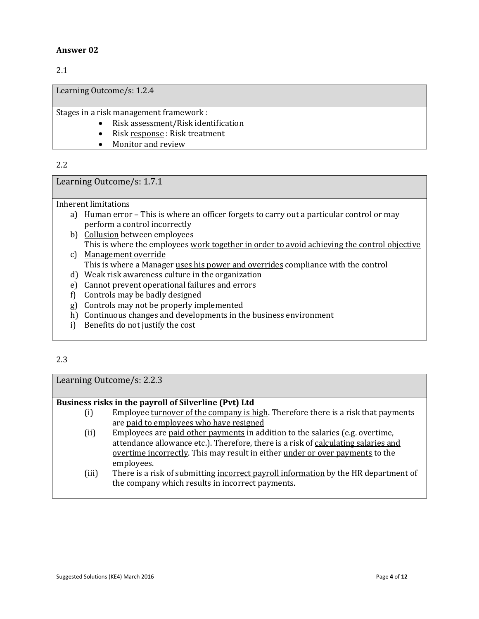#### 2.1

Learning Outcome/s: 1.2.4

Stages in a risk management framework :

- Risk assessment/Risk identification
- Risk response : Risk treatment
- Monitor and review

#### 2.2

Learning Outcome/s: 1.7.1

Inherent limitations

- a) Human error This is where an officer forgets to carry out a particular control or may perform a control incorrectly
- b) Collusion between employees This is where the employees work together in order to avoid achieving the control objective
- c) Management override This is where a Manager uses his power and overrides compliance with the control
- d) Weak risk awareness culture in the organization
- e) Cannot prevent operational failures and errors
- f) Controls may be badly designed
- g) Controls may not be properly implemented
- h) Continuous changes and developments in the business environment
- i) Benefits do not justify the cost

#### 2.3

Learning Outcome/s: 2.2.3

#### **Business risks in the payroll of Silverline (Pvt) Ltd**

- (i) Employee turnover of the company is high. Therefore there is a risk that payments are paid to employees who have resigned
- (ii) Employees are paid other payments in addition to the salaries (e.g. overtime, attendance allowance etc.). Therefore, there is a risk of calculating salaries and overtime incorrectly. This may result in either under or over payments to the employees.
- (iii) There is a risk of submitting incorrect payroll information by the HR department of the company which results in incorrect payments.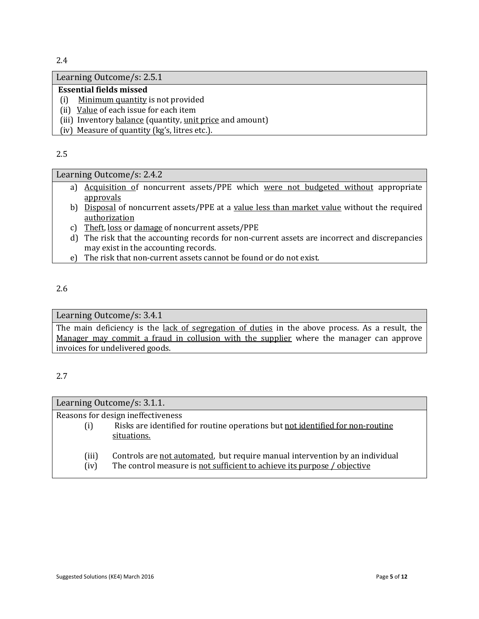2.4

#### Learning Outcome/s: 2.5.1

#### **Essential fields missed**

- (i) Minimum quantity is not provided
- (ii) Value of each issue for each item
- (iii) Inventory balance (quantity, unit price and amount)
- (iv) Measure of quantity (kg's, litres etc.).

2.5

#### Learning Outcome/s: 2.4.2

- a) Acquisition of noncurrent assets/PPE which were not budgeted without appropriate approvals
- b) Disposal of noncurrent assets/PPE at a value less than market value without the required authorization
- c) Theft, loss or damage of noncurrent assets/PPE
- d) The risk that the accounting records for non-current assets are incorrect and discrepancies may exist in the accounting records.
- e) The risk that non-current assets cannot be found or do not exist.

#### 2.6

#### Learning Outcome/s: 3.4.1

The main deficiency is the lack of segregation of duties in the above process. As a result, the Manager may commit a fraud in collusion with the supplier where the manager can approve invoices for undelivered goods.

#### 2.7

| Learning Outcome/s: 3.1.1.         |                                                                                |
|------------------------------------|--------------------------------------------------------------------------------|
| Reasons for design ineffectiveness |                                                                                |
| (i)                                | Risks are identified for routine operations but not identified for non-routine |
|                                    | situations.                                                                    |
|                                    |                                                                                |
| (iii)                              | Controls are not automated, but require manual intervention by an individual   |
| (iv)                               | The control measure is not sufficient to achieve its purpose / objective       |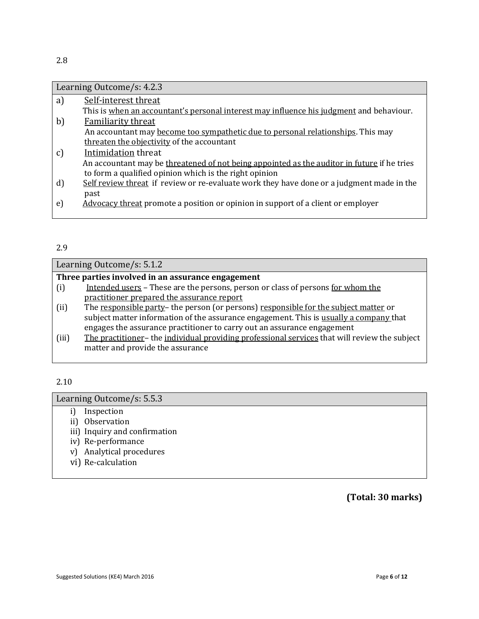| Learning Outcome/s: 4.2.3 |                                                                                             |
|---------------------------|---------------------------------------------------------------------------------------------|
| a)                        | Self-interest threat                                                                        |
|                           | This is when an accountant's personal interest may influence his judgment and behaviour.    |
| b)                        | <b>Familiarity threat</b>                                                                   |
|                           | An accountant may become too sympathetic due to personal relationships. This may            |
|                           | threaten the objectivity of the accountant                                                  |
| c)                        | Intimidation threat                                                                         |
|                           | An accountant may be threatened of not being appointed as the auditor in future if he tries |
|                           | to form a qualified opinion which is the right opinion                                      |
| $\mathbf{d}$              | Self review threat if review or re-evaluate work they have done or a judgment made in the   |
|                           | past                                                                                        |
| e)                        | Advocacy threat promote a position or opinion in support of a client or employer            |

#### 2.9

| Learning Outcome/s: 5.1.2                         |                                                                                               |  |
|---------------------------------------------------|-----------------------------------------------------------------------------------------------|--|
| Three parties involved in an assurance engagement |                                                                                               |  |
| (i)                                               | Intended users – These are the persons, person or class of persons for whom the               |  |
|                                                   | practitioner prepared the assurance report                                                    |  |
| (ii)                                              | The responsible party- the person (or persons) responsible for the subject matter or          |  |
|                                                   | subject matter information of the assurance engagement. This is usually a company that        |  |
|                                                   | engages the assurance practitioner to carry out an assurance engagement                       |  |
| (iii)                                             | The practitioner- the individual providing professional services that will review the subject |  |
|                                                   | matter and provide the assurance                                                              |  |
|                                                   |                                                                                               |  |

2.10

Learning Outcome/s: 5.5.3

- i) Inspection
- ii) Observation
- iii) Inquiry and confirmation
- iv) Re-performance
- v) Analytical procedures
- vi) Re-calculation

**(Total: 30 marks)**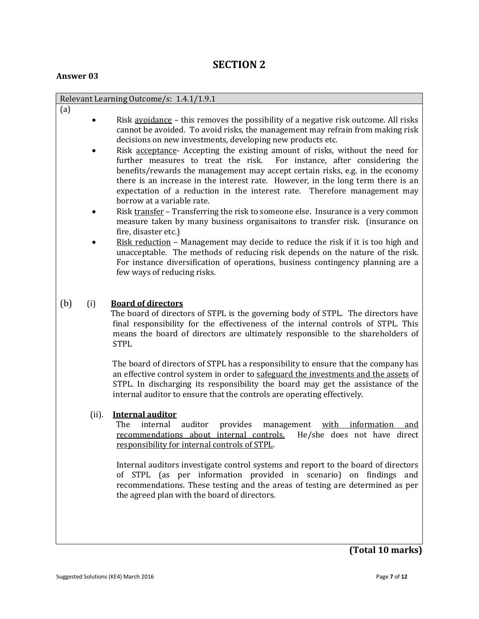# **SECTION 2**

#### **Answer 03**

|            | Relevant Learning Outcome/s: 1.4.1/1.9.1                                                                                                                                                                                                                                                                                                                                                                                                                                                                                                                                                                                                                                                                                                                                                                                                                                                                                                                                                                                                                                                                                                                                            |  |
|------------|-------------------------------------------------------------------------------------------------------------------------------------------------------------------------------------------------------------------------------------------------------------------------------------------------------------------------------------------------------------------------------------------------------------------------------------------------------------------------------------------------------------------------------------------------------------------------------------------------------------------------------------------------------------------------------------------------------------------------------------------------------------------------------------------------------------------------------------------------------------------------------------------------------------------------------------------------------------------------------------------------------------------------------------------------------------------------------------------------------------------------------------------------------------------------------------|--|
| (a)        | Risk <u>avoidance</u> – this removes the possibility of a negative risk outcome. All risks<br>cannot be avoided. To avoid risks, the management may refrain from making risk<br>decisions on new investments, developing new products etc.<br>Risk acceptance- Accepting the existing amount of risks, without the need for<br>For instance, after considering the<br>further measures to treat the risk.<br>benefits/rewards the management may accept certain risks, e.g. in the economy<br>there is an increase in the interest rate. However, in the long term there is an<br>expectation of a reduction in the interest rate. Therefore management may<br>borrow at a variable rate.<br>Risk transfer - Transferring the risk to someone else. Insurance is a very common<br>measure taken by many business organisaitons to transfer risk. (insurance on<br>fire, disaster etc.)<br><u>Risk reduction</u> – Management may decide to reduce the risk if it is too high and<br>unacceptable. The methods of reducing risk depends on the nature of the risk.<br>For instance diversification of operations, business contingency planning are a<br>few ways of reducing risks. |  |
| (b)<br>(i) | <b>Board of directors</b><br>The board of directors of STPL is the governing body of STPL. The directors have<br>final responsibility for the effectiveness of the internal controls of STPL. This<br>means the board of directors are ultimately responsible to the shareholders of<br><b>STPL</b><br>The board of directors of STPL has a responsibility to ensure that the company has<br>an effective control system in order to safeguard the investments and the assets of<br>STPL. In discharging its responsibility the board may get the assistance of the<br>internal auditor to ensure that the controls are operating effectively.                                                                                                                                                                                                                                                                                                                                                                                                                                                                                                                                      |  |
| (ii).      | <b>Internal auditor</b><br>The<br>internal<br>auditor<br>provides<br>management<br>with information<br>and<br>recommendations about internal controls.<br>He/she does not have direct<br>responsibility for internal controls of STPL.<br>Internal auditors investigate control systems and report to the board of directors<br>of STPL (as per information provided in scenario) on findings and<br>recommendations. These testing and the areas of testing are determined as per<br>the agreed plan with the board of directors.                                                                                                                                                                                                                                                                                                                                                                                                                                                                                                                                                                                                                                                  |  |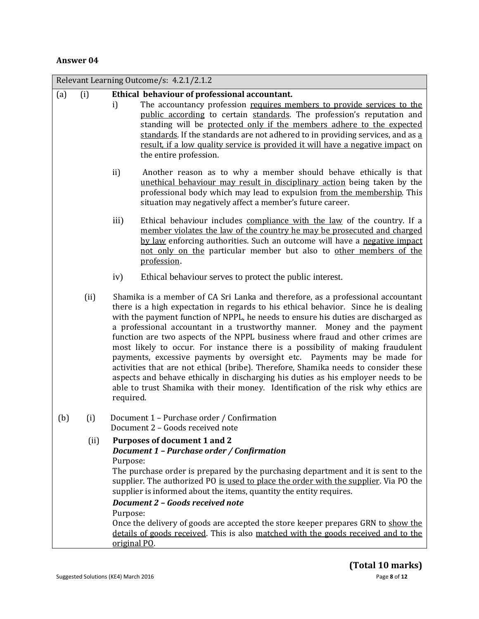|     |      | Relevant Learning Outcome/s: 4.2.1/2.1.2                                                                                                                                                                                                                                                                                                                                                                                                                                                                                                                                                                                                                                                                                                                                                                                                                               |
|-----|------|------------------------------------------------------------------------------------------------------------------------------------------------------------------------------------------------------------------------------------------------------------------------------------------------------------------------------------------------------------------------------------------------------------------------------------------------------------------------------------------------------------------------------------------------------------------------------------------------------------------------------------------------------------------------------------------------------------------------------------------------------------------------------------------------------------------------------------------------------------------------|
| (a) | (i)  | Ethical behaviour of professional accountant.<br>The accountancy profession requires members to provide services to the<br>i)<br>public according to certain standards. The profession's reputation and<br>standing will be protected only if the members adhere to the expected<br>standards. If the standards are not adhered to in providing services, and as a<br>result, if a low quality service is provided it will have a negative impact on<br>the entire profession.                                                                                                                                                                                                                                                                                                                                                                                         |
|     |      | ii)<br>Another reason as to why a member should behave ethically is that<br>unethical behaviour may result in disciplinary action being taken by the<br>professional body which may lead to expulsion from the membership. This<br>situation may negatively affect a member's future career.                                                                                                                                                                                                                                                                                                                                                                                                                                                                                                                                                                           |
|     |      | iii)<br>Ethical behaviour includes compliance with the law of the country. If a<br>member violates the law of the country he may be prosecuted and charged<br>by law enforcing authorities. Such an outcome will have a negative impact<br>not only on the particular member but also to other members of the<br>profession.                                                                                                                                                                                                                                                                                                                                                                                                                                                                                                                                           |
|     |      | Ethical behaviour serves to protect the public interest.<br>iv)                                                                                                                                                                                                                                                                                                                                                                                                                                                                                                                                                                                                                                                                                                                                                                                                        |
|     | (ii) | Shamika is a member of CA Sri Lanka and therefore, as a professional accountant<br>there is a high expectation in regards to his ethical behavior. Since he is dealing<br>with the payment function of NPPL, he needs to ensure his duties are discharged as<br>a professional accountant in a trustworthy manner. Money and the payment<br>function are two aspects of the NPPL business where fraud and other crimes are<br>most likely to occur. For instance there is a possibility of making fraudulent<br>payments, excessive payments by oversight etc. Payments may be made for<br>activities that are not ethical (bribe). Therefore, Shamika needs to consider these<br>aspects and behave ethically in discharging his duties as his employer needs to be<br>able to trust Shamika with their money. Identification of the risk why ethics are<br>required. |
| (b) | (i)  | Document 1 - Purchase order / Confirmation<br>Document 2 - Goods received note                                                                                                                                                                                                                                                                                                                                                                                                                                                                                                                                                                                                                                                                                                                                                                                         |
|     | (ii) | <b>Purposes of document 1 and 2</b><br>Document 1 - Purchase order / Confirmation<br>Purpose:<br>The purchase order is prepared by the purchasing department and it is sent to the<br>supplier. The authorized PO is used to place the order with the supplier. Via PO the<br>supplier is informed about the items, quantity the entity requires.                                                                                                                                                                                                                                                                                                                                                                                                                                                                                                                      |
|     |      | Document 2 - Goods received note<br>Purpose:<br>Once the delivery of goods are accepted the store keeper prepares GRN to show the<br>details of goods received. This is also matched with the goods received and to the<br>original PO.                                                                                                                                                                                                                                                                                                                                                                                                                                                                                                                                                                                                                                |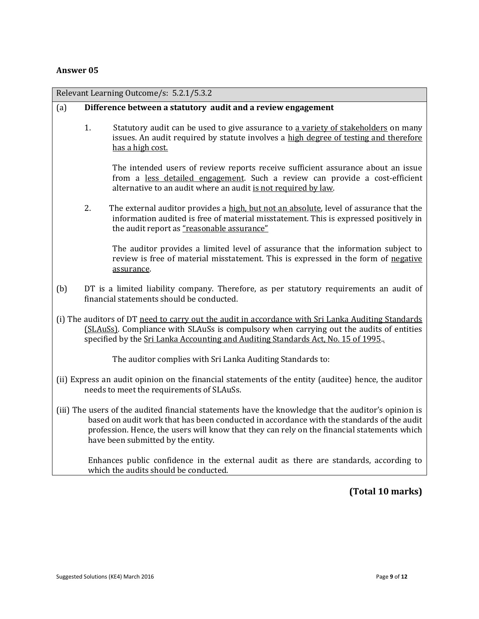| Relevant Learning Outcome/s: 5.2.1/5.3.2                                                                                                                                                                                                                                                                                               |    |                                                                                                                                                                                                                                   |
|----------------------------------------------------------------------------------------------------------------------------------------------------------------------------------------------------------------------------------------------------------------------------------------------------------------------------------------|----|-----------------------------------------------------------------------------------------------------------------------------------------------------------------------------------------------------------------------------------|
| (a)                                                                                                                                                                                                                                                                                                                                    |    | Difference between a statutory audit and a review engagement                                                                                                                                                                      |
|                                                                                                                                                                                                                                                                                                                                        | 1. | Statutory audit can be used to give assurance to a variety of stakeholders on many<br>issues. An audit required by statute involves a high degree of testing and therefore<br>has a high cost.                                    |
|                                                                                                                                                                                                                                                                                                                                        |    | The intended users of review reports receive sufficient assurance about an issue<br>from a less detailed engagement. Such a review can provide a cost-efficient<br>alternative to an audit where an audit is not required by law. |
|                                                                                                                                                                                                                                                                                                                                        | 2. | The external auditor provides a high, but not an absolute, level of assurance that the<br>information audited is free of material misstatement. This is expressed positively in<br>the audit report as "reasonable assurance"     |
|                                                                                                                                                                                                                                                                                                                                        |    | The auditor provides a limited level of assurance that the information subject to<br>review is free of material misstatement. This is expressed in the form of negative<br>assurance.                                             |
| (b)                                                                                                                                                                                                                                                                                                                                    |    | DT is a limited liability company. Therefore, as per statutory requirements an audit of<br>financial statements should be conducted.                                                                                              |
| (i) The auditors of DT need to carry out the audit in accordance with Sri Lanka Auditing Standards<br>(SLAuSs). Compliance with SLAuSs is compulsory when carrying out the audits of entities<br>specified by the Sri Lanka Accounting and Auditing Standards Act, No. 15 of 1995.                                                     |    |                                                                                                                                                                                                                                   |
|                                                                                                                                                                                                                                                                                                                                        |    | The auditor complies with Sri Lanka Auditing Standards to:                                                                                                                                                                        |
| (ii) Express an audit opinion on the financial statements of the entity (auditee) hence, the auditor<br>needs to meet the requirements of SLAuSs.                                                                                                                                                                                      |    |                                                                                                                                                                                                                                   |
| (iii) The users of the audited financial statements have the knowledge that the auditor's opinion is<br>based on audit work that has been conducted in accordance with the standards of the audit<br>profession. Hence, the users will know that they can rely on the financial statements which<br>have been submitted by the entity. |    |                                                                                                                                                                                                                                   |
|                                                                                                                                                                                                                                                                                                                                        |    | Enhances public confidence in the external audit as there are standards, according to<br>which the audits should be conducted.                                                                                                    |
|                                                                                                                                                                                                                                                                                                                                        |    | (Total 10 marks)                                                                                                                                                                                                                  |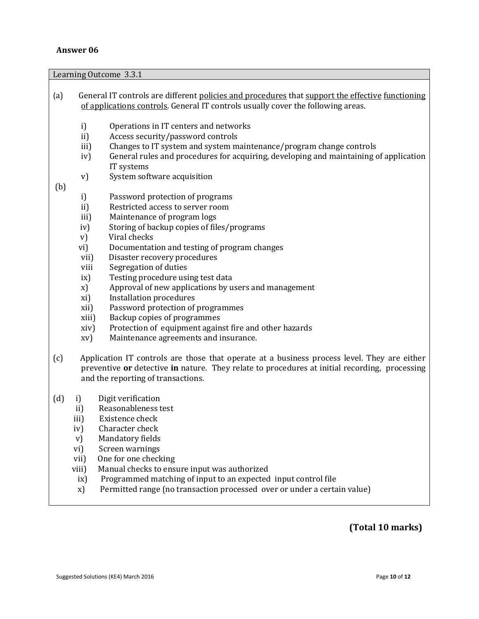Learning Outcome 3.3.1

| (a) |               | General IT controls are different policies and procedures that support the effective functioning<br>of applications controls. General IT controls usually cover the following areas.                                               |
|-----|---------------|------------------------------------------------------------------------------------------------------------------------------------------------------------------------------------------------------------------------------------|
|     |               |                                                                                                                                                                                                                                    |
|     | i)<br>ii)     | Operations in IT centers and networks<br>Access security/password controls                                                                                                                                                         |
|     | iii)          | Changes to IT system and system maintenance/program change controls                                                                                                                                                                |
|     | iv)           | General rules and procedures for acquiring, developing and maintaining of application                                                                                                                                              |
|     |               | IT systems                                                                                                                                                                                                                         |
|     | V)            | System software acquisition                                                                                                                                                                                                        |
| (b) |               |                                                                                                                                                                                                                                    |
|     | i)            | Password protection of programs                                                                                                                                                                                                    |
|     | ii)           | Restricted access to server room                                                                                                                                                                                                   |
|     | iii)          | Maintenance of program logs                                                                                                                                                                                                        |
|     | iv)           | Storing of backup copies of files/programs                                                                                                                                                                                         |
|     | v)            | Viral checks                                                                                                                                                                                                                       |
|     | vi)           | Documentation and testing of program changes                                                                                                                                                                                       |
|     | vii)          | Disaster recovery procedures                                                                                                                                                                                                       |
|     | viii          | Segregation of duties                                                                                                                                                                                                              |
|     | i x)          | Testing procedure using test data                                                                                                                                                                                                  |
|     | x)            | Approval of new applications by users and management                                                                                                                                                                               |
|     | xi)           | <b>Installation procedures</b>                                                                                                                                                                                                     |
|     | xii)          | Password protection of programmes                                                                                                                                                                                                  |
|     | xiii)         | Backup copies of programmes                                                                                                                                                                                                        |
|     | xiv)          | Protection of equipment against fire and other hazards                                                                                                                                                                             |
|     | xv)           | Maintenance agreements and insurance.                                                                                                                                                                                              |
| (c) |               | Application IT controls are those that operate at a business process level. They are either<br>preventive or detective in nature. They relate to procedures at initial recording, processing<br>and the reporting of transactions. |
| (d) | i)            | Digit verification                                                                                                                                                                                                                 |
|     | ii)           | Reasonableness test                                                                                                                                                                                                                |
|     | iii)          | Existence check                                                                                                                                                                                                                    |
|     | iv)           | Character check                                                                                                                                                                                                                    |
|     | V)            | Mandatory fields                                                                                                                                                                                                                   |
|     | vi)           | Screen warnings                                                                                                                                                                                                                    |
|     | vii)          | One for one checking                                                                                                                                                                                                               |
|     | viii)         | Manual checks to ensure input was authorized                                                                                                                                                                                       |
|     | $i\mathbf{x}$ | Programmed matching of input to an expected input control file                                                                                                                                                                     |
|     | X)            | Permitted range (no transaction processed over or under a certain value)                                                                                                                                                           |
|     |               |                                                                                                                                                                                                                                    |

# **(Total 10 marks)**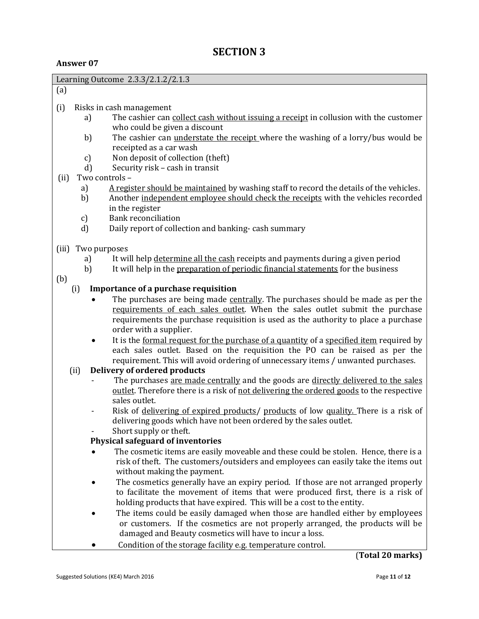|       |                    | Learning Outcome 2.3.3/2.1.2/2.1.3                                                                                                                                                                                           |
|-------|--------------------|------------------------------------------------------------------------------------------------------------------------------------------------------------------------------------------------------------------------------|
| (a)   |                    |                                                                                                                                                                                                                              |
| (i)   |                    | Risks in cash management                                                                                                                                                                                                     |
|       | a)                 | The cashier can collect cash without issuing a receipt in collusion with the customer                                                                                                                                        |
|       |                    | who could be given a discount                                                                                                                                                                                                |
|       | b)                 | The cashier can <i>understate the receipt</i> where the washing of a lorry/bus would be                                                                                                                                      |
|       |                    | receipted as a car wash                                                                                                                                                                                                      |
|       | c)<br>$\mathbf{d}$ | Non deposit of collection (theft)<br>Security risk - cash in transit                                                                                                                                                         |
| (ii)  |                    | Two controls -                                                                                                                                                                                                               |
|       | a)                 | A register should be maintained by washing staff to record the details of the vehicles.                                                                                                                                      |
|       | b)                 | Another independent employee should check the receipts with the vehicles recorded                                                                                                                                            |
|       |                    | in the register                                                                                                                                                                                                              |
|       | c)                 | <b>Bank reconciliation</b>                                                                                                                                                                                                   |
|       | $\mathbf{d}$       | Daily report of collection and banking-cash summary                                                                                                                                                                          |
| (iii) | Two purposes       |                                                                                                                                                                                                                              |
|       | a)                 | It will help determine all the cash receipts and payments during a given period                                                                                                                                              |
|       | b)                 | It will help in the preparation of periodic financial statements for the business                                                                                                                                            |
| (b)   |                    |                                                                                                                                                                                                                              |
|       | (i)                | Importance of a purchase requisition                                                                                                                                                                                         |
|       | $\bullet$          | The purchases are being made centrally. The purchases should be made as per the                                                                                                                                              |
|       |                    | requirements of each sales outlet. When the sales outlet submit the purchase<br>requirements the purchase requisition is used as the authority to place a purchase                                                           |
|       |                    | order with a supplier.                                                                                                                                                                                                       |
|       | $\bullet$          | It is the formal request for the purchase of a quantity of a specified item required by                                                                                                                                      |
|       |                    | each sales outlet. Based on the requisition the PO can be raised as per the                                                                                                                                                  |
|       |                    | requirement. This will avoid ordering of unnecessary items / unwanted purchases.                                                                                                                                             |
|       | (ii)               | Delivery of ordered products                                                                                                                                                                                                 |
|       |                    | The purchases are made centrally and the goods are directly delivered to the sales                                                                                                                                           |
|       |                    | outlet. Therefore there is a risk of not delivering the ordered goods to the respective                                                                                                                                      |
|       |                    | sales outlet.                                                                                                                                                                                                                |
|       |                    | Risk of delivering of expired products/ products of low quality. There is a risk of                                                                                                                                          |
|       |                    | delivering goods which have not been ordered by the sales outlet.<br>Short supply or theft.                                                                                                                                  |
|       |                    | Physical safeguard of inventories                                                                                                                                                                                            |
|       |                    | The cosmetic items are easily moveable and these could be stolen. Hence, there is a                                                                                                                                          |
|       |                    | risk of theft. The customers/outsiders and employees can easily take the items out                                                                                                                                           |
|       |                    | without making the payment.                                                                                                                                                                                                  |
|       |                    | The cosmetics generally have an expiry period. If those are not arranged properly                                                                                                                                            |
|       |                    | to facilitate the movement of items that were produced first, there is a risk of                                                                                                                                             |
|       |                    | holding products that have expired. This will be a cost to the entity.                                                                                                                                                       |
|       |                    | The items could be easily damaged when those are handled either by employees                                                                                                                                                 |
|       |                    |                                                                                                                                                                                                                              |
|       |                    |                                                                                                                                                                                                                              |
|       |                    |                                                                                                                                                                                                                              |
|       |                    | or customers. If the cosmetics are not properly arranged, the products will be<br>damaged and Beauty cosmetics will have to incur a loss.<br>Condition of the storage facility e.g. temperature control.<br>(Total 20 marks) |